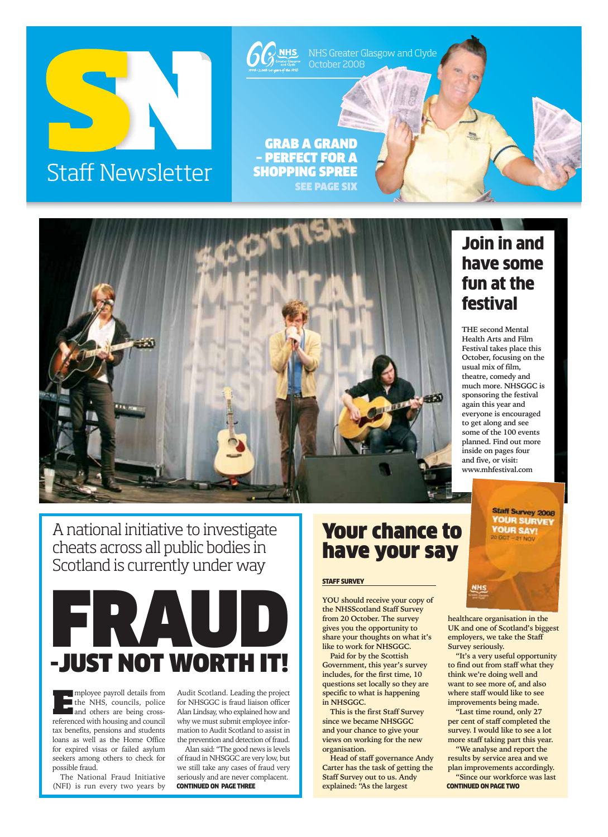



A national initiative to investigate cheats across all public bodies in Scotland is currently under way



**E**mployee payroll details from<br>the NHS, councils, police the NHS, councils, police and others are being crossreferenced with housing and council tax benefits, pensions and students loans as well as the Home Office for expired visas or failed asylum seekers among others to check for possible fraud.

The National Fraud Initiative (NFI) is run every two years by

Audit Scotland. Leading the project for NHSGGC is fraud liaison officer Alan Lindsay, who explained how and why we must submit employee information to Audit Scotland to assist in the prevention and detection of fraud.

Alan said: "The good news is levels of fraud in NHSGGC are very low, but we still take any cases of fraud very seriously and are never complacent. **CONTINUED ON PAGE THREE Explained: "As the largest <b>CONTINUED ON PAGE TWO** 

# Your chance to have your say

#### **STAFF SURVEY**

**YOU should receive your copy of the NHSScotland Staff Survey from 20 October. The survey gives you the opportunity to share your thoughts on what it's like to work for NHSGGC.**

**Paid for by the Scottish Government, this year's survey includes, for the first time, 10 questions set locally so they are specific to what is happening in NHSGGC.**

**This is the first Staff Survey since we became NHSGGC and your chance to give your views on working for the new organisation.**

**Head of staff governance Andy Carter has the task of getting the Staff Survey out to us. Andy**

## Join in and have some fun at the festival

**THE second Mental Health Arts and Film Festival takes place this October, focusing on the usual mix of film, theatre, comedy and much more. NHSGGC is sponsoring the festival again this year and everyone is encouraged to get along and see some of the 100 events planned. Find out more inside on pages four and five, or visit: www.mhfestival.com**

> **Staff Survey 2008 YOUR SURVEY YOUR SAY!**

**healthcare organisation in the UK and one of Scotland's biggest employers, we take the Staff Survey seriously.** 

**"It's a very useful opportunity to find out from staff what they think we're doing well and want to see more of, and also where staff would like to see improvements being made.**

**"Last time round, only 27 per cent of staff completed the survey. I would like to see a lot more staff taking part this year.** 

**"We analyse and report the results by service area and we plan improvements accordingly.**

**"Since our workforce was last**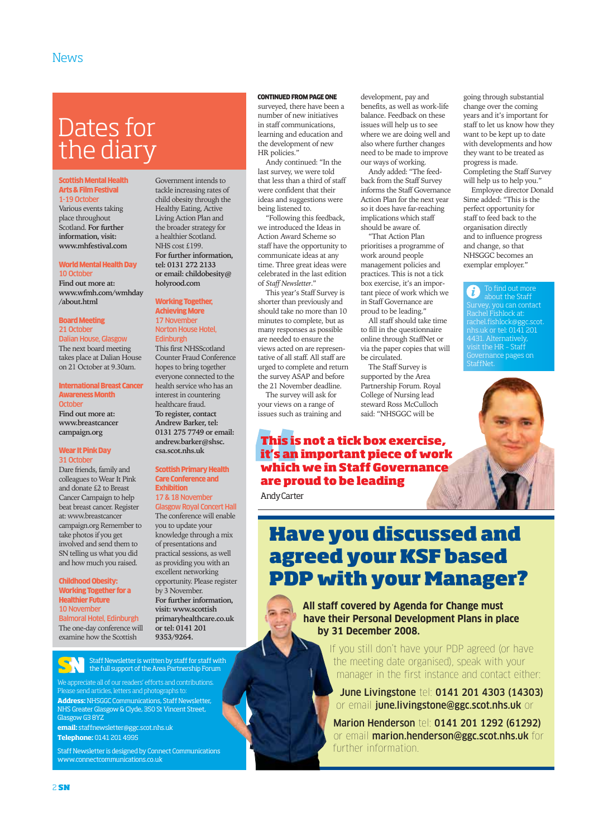# Dates for the diary

#### Scottish Mental Health Arts & Film Festival

1-19 October Various events taking place throughout Scotland. **For further information, visit: www.mhfestival.com** 

#### World Mental Health Day 10 October

**Find out more at: www.wfmh.com/wmhday /about.html**

#### Board Meeting 21 October

Dalian House, Glasgow The next board meeting takes place at Dalian House on 21 October at 9.30am.

#### International Breast Cancer Awareness Month **October**

**Find out more at: www.breastcancer campaign.org**

#### Wear It Pink Day 31 Octobe

Dare friends, family and colleagues to Wear It Pink and donate £2 to Breast Cancer Campaign to help beat breast cancer. Register at: www.breastcancer campaign.org Remember to take photos if you get involved and send them to SN telling us what you did and how much you raised.

#### Childhood Obesity: Working Together for a Healthier Future 10 November

Balmoral Hotel, Edinburgh The one-day conference will examine how the Scottish

Government intends to tackle increasing rates of child obesity through the Healthy Eating, Active Living Action Plan and the broader strategy for a healthier Scotland. NHS cost £199. **For further information, tel: 0131 272 2133 or email: childobesity@ holyrood.com**

#### Working Together, Achieving More 17 November Norton House Hotel,

**Edinburgh** This first NHSScotland Counter Fraud Conference hopes to bring together everyone connected to the health service who has an interest in countering healthcare fraud. **To register, contact Andrew Barker, tel: 0131 275 7749 or email: andrew.barker@shsc. csa.scot.nhs.uk**

#### Scottish Primary Health Care Conference and **Exhibition**

17 & 18 November Glasgow Royal Concert Hall The conference will enable

you to update your knowledge through a mix of presentations and practical sessions, as well as providing you with an excellent networking opportunity. Please register by 3 November. **For further information, visit: www.scottish primaryhealthcare.co.uk or tel: 0141 201 9353/9264.**

Staff Newsletter is written by staff for staff with the full support of the Area Partnership Forum

We appreciate all of our readers' efforts and contributions.  $\overline{\text{P}}$  send articles, letters and photographs to: **Address:**NHSGGC Communications, Staff Newsletter, NHS Greater Glasgow & Clyde, 350 St Vincent Street, Glasgow G3 8YZ

**email:** staffnewsletter@ggc.scot.nhs.uk **Telephone:** 0141 201 4995

Staff Newsletter is designed by Connect Communications www.connectcommunications.co.uk

#### CONTINUED FROM PAGE ONE

surveyed, there have been a number of new initiatives in staff communications, learning and education and the development of new HR policies."

Andy continued: "In the last survey, we were told that less than a third of staff were confident that their ideas and suggestions were being listened to.

"Following this feedback, we introduced the Ideas in Action Award Scheme so staff have the opportunity to communicate ideas at any time. Three great ideas were celebrated in the last edition of *Staff Newsletter*."

This year's Staff Survey is shorter than previously and should take no more than 10 minutes to complete, but as many responses as possible are needed to ensure the views acted on are representative of all staff. All staff are urged to complete and return the survey ASAP and before the 21 November deadline.

The survey will ask for your views on a range of issues such as training and development, pay and benefits, as well as work-life balance. Feedback on these issues will help us to see where we are doing well and also where further changes need to be made to improve our ways of working.

going through substantial change over the coming years and it's important for staff to let us know how they want to be kept up to date with developments and how they want to be treated as progress is made.

Completing the Staff Survey will help us to help you." Employee director Donald Sime added: "This is the perfect opportunity for staff to feed back to the organisation directly and to influence progress and change, so that NHSGGC becomes an exemplar employer."

To find out more  $\omega$  about the Staff<br>Survey, you can contact Survey, you can contact Rachel Fishlock at: rachel.fishlock@ggc.scot. nhs.uk or tel: 0141 201 4431. Alternatively, visit the HR – Staff Governance pages on

StaffNet.

Andy added: "The feedback from the Staff Survey informs the Staff Governance Action Plan for the next year so it does have far-reaching implications which staff should be aware of.

"That Action Plan prioritises a programme of work around people management policies and practices. This is not a tick box exercise, it's an important piece of work which we in Staff Governance are proud to be leading."

All staff should take time to fill in the questionnaire online through StaffNet or via the paper copies that will be circulated.

The Staff Survey is supported by the Area Partnership Forum. Royal College of Nursing lead steward Ross McCulloch said: "NHSGGC will be



Andy Carter

# **Have you discussed and agreed your KSF based PDP with your Manager?**

**All staff covered by Agenda for Change must have their Personal Development Plans in place by 31 December 2008.**

> If you still don't have your PDP agreed (or have the meeting date organised), speak with your manager in the first instance and contact either:

June Livingstone tel: 0141 201 4303 (14303) or email june.livingstone@ggc.scot.nhs.uk or

Marion Henderson tel: 0141 201 1292 (61292) or email marion.henderson@ggc.scot.nhs.uk for further information.

2 **SN**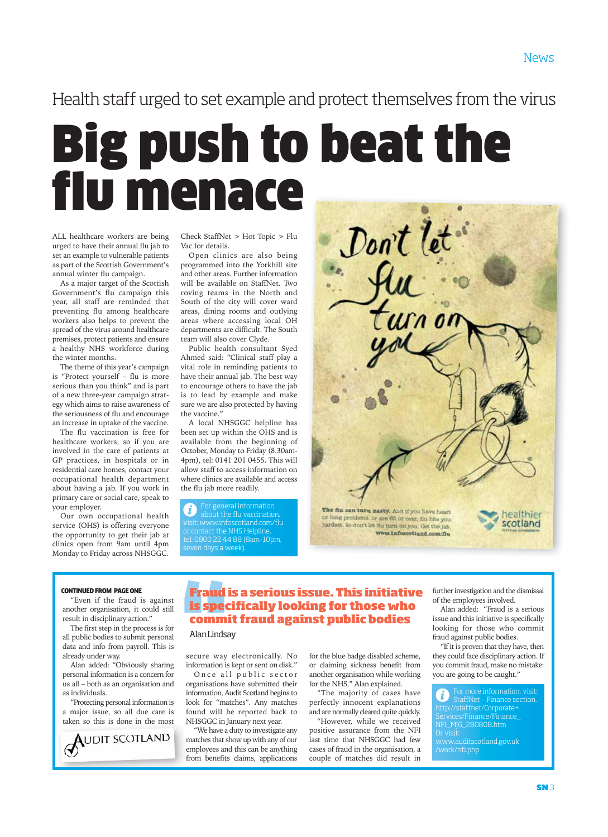### Health staff urged to set example and protect themselves from the virus

# Big push to beat the i menace

ALL healthcare workers are being urged to have their annual flu jab to set an example to vulnerable patients as part of the Scottish Government's annual winter flu campaign.

As a major target of the Scottish Government's flu campaign this year, all staff are reminded that preventing flu among healthcare workers also helps to prevent the spread of the virus around healthcare premises, protect patients and ensure a healthy NHS workforce during the winter months.

The theme of this year's campaign is "Protect yourself – flu is more serious than you think" and is part of a new three-year campaign strategy which aims to raise awareness of the seriousness of flu and encourage an increase in uptake of the vaccine.

The flu vaccination is free for healthcare workers, so if you are involved in the care of patients at GP practices, in hospitals or in residential care homes, contact your occupational health department about having a jab. If you work in primary care or social care, speak to your employer.

Our own occupational health service (OHS) is offering everyone the opportunity to get their jab at clinics open from 9am until 4pm Monday to Friday across NHSGGC.

Check StaffNet > Hot Topic > Flu Vac for details.

Open clinics are also being programmed into the Yorkhill site and other areas. Further information will be available on StaffNet. Two roving teams in the North and South of the city will cover ward areas, dining rooms and outlying areas where accessing local OH departments are difficult. The South team will also cover Clyde.

Public health consultant Syed Ahmed said: "Clinical staff play a vital role in reminding patients to have their annual jab. The best way to encourage others to have the jab is to lead by example and make sure we are also protected by having the vaccine."

A local NHSGGC helpline has been set up within the OHS and is available from the beginning of October, Monday to Friday (8.30am-4pm), tel: 0141 201 0455. This will allow staff to access information on where clinics are available and access the flu jab more readily.

For general information about the flu vaccination, visit: www.infoscotland.com/flu or contact the NHS Helpline, tel: 0800 22 44 88 (8am-10pm, seven days a week).



#### CONTINUED FROM PAGE ONE

"Even if the fraud is against another organisation, it could still result in disciplinary action."

The first step in the process is for all public bodies to submit personal data and info from payroll. This is already under way.

Alan added: "Obviously sharing personal information is a concern for us all – both as an organisation and as individuals.

"Protecting personal information is a major issue, so all due care is taken so this is done in the most



#### **Fraud is a serious issue. This initiative is specifically looking for those who commit fraud against public bodies**

#### Alan Lindsay

secure way electronically. No information is kept or sent on disk."

Once all public sector organisations have submitted their information, Audit Scotland begins to look for "matches". Any matches found will be reported back to NHSGGC in January next year.

"We have a duty to investigate any matches that show up with any of our employees and this can be anything from benefits claims, applications

for the blue badge disabled scheme, or claiming sickness benefit from another organisation while working for the NHS," Alan explained.

"The majority of cases have perfectly innocent explanations and are normally cleared quite quickly.

"However, while we received positive assurance from the NFI last time that NHSGGC had few cases of fraud in the organisation, a couple of matches did result in

further investigation and the dismissal of the employees involved.

Alan added: "Fraud is a serious issue and this initiative is specifically looking for those who commit fraud against public bodies.

"If it is proven that they have, then they could face disciplinary action. If you commit fraud, make no mistake: you are going to be caught."

 $\vec{u}$ ) StaffNet – Finance section. http://staffnet/Corporate+ Services/Finance/Finance\_ NFI\_MJG\_280808.htm Or visit: www.auditscotland.gov.uk /work/nfi.php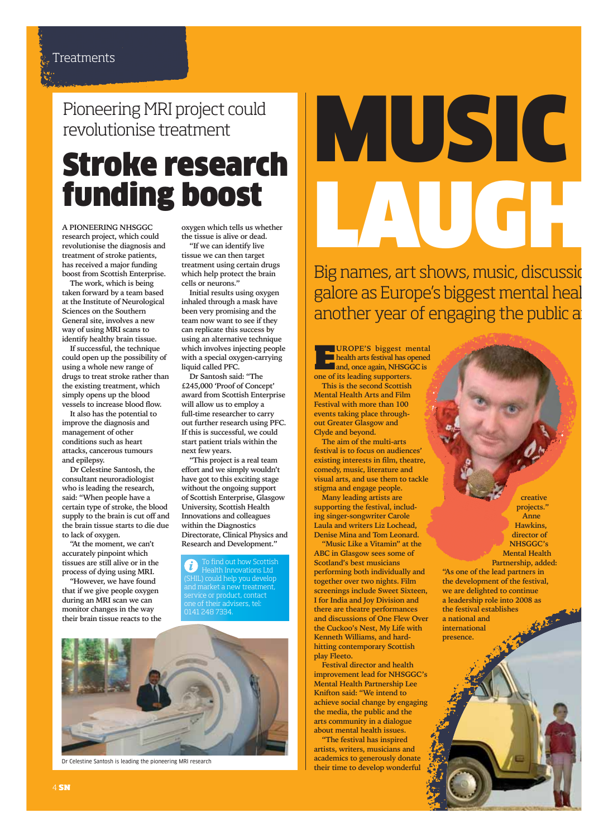# Pioneering MRI project could revolutionise treatment

# Stroke research funding boost

**A PIONEERING NHSGGC research project, which could revolutionise the diagnosis and treatment of stroke patients, has received a major funding boost from Scottish Enterprise.**

**The work, which is being taken forward by a team based at the Institute of Neurological Sciences on the Southern General site, involves a new way of using MRI scans to identify healthy brain tissue.** 

**If successful, the technique could open up the possibility of using a whole new range of drugs to treat stroke rather than the existing treatment, which simply opens up the blood vessels to increase blood flow.** 

**It also has the potential to improve the diagnosis and management of other conditions such as heart attacks, cancerous tumours and epilepsy.** 

**Dr Celestine Santosh, the consultant neuroradiologist who is leading the research, said: "When people have a certain type of stroke, the blood supply to the brain is cut off and the brain tissue starts to die due to lack of oxygen.** 

**"At the moment, we can't accurately pinpoint which tissues are still alive or in the process of dying using MRI.** 

**"However, we have found that if we give people oxygen during an MRI scan we can monitor changes in the way their brain tissue reacts to the** **oxygen which tells us whether the tissue is alive or dead.** 

**"If we can identify live tissue we can then target treatment using certain drugs which help protect the brain cells or neurons."**

**Initial results using oxygen inhaled through a mask have been very promising and the team now want to see if they can replicate this success by using an alternative technique which involves injecting people with a special oxygen-carrying liquid called PFC.** 

**Dr Santosh said: "The £245,000 'Proof of Concept' award from Scottish Enterprise will allow us to employ a full-time researcher to carry out further research using PFC. If this is successful, we could start patient trials within the next few years.**

**"This project is a real team effort and we simply wouldn't have got to this exciting stage without the ongoing support of Scottish Enterprise, Glasgow University, Scottish Health Innovations and colleagues within the Diagnostics Directorate, Clinical Physics and Research and Development."**

To find out how Scottish Health Innovations Ltd (SHIL) could help you develop and market a new treatment, service or product, contact one of their advisers, tel: 0141 248 7334.



Dr Celestine Santosh is leading the pioneering MRI research

# MUSIC LAUGH

Big names, art shows, music, discussid galore as Europe's biggest mental heal another year of engaging the public a

**EROPE'S** biggest mental<br>health arts festival has opened<br>and, once again, NHSGGC is<br>one of its leading supporters **health arts festival has opened and, once again, NHSGGC is one of its leading supporters. This is the second Scottish Mental Health Arts and Film Festival with more than 100**

**events taking place throughout Greater Glasgow and Clyde and beyond. The aim of the multi-arts**

**festival is to focus on audiences' existing interests in film, theatre, comedy, music, literature and visual arts, and use them to tackle stigma and engage people.**

**Many leading artists are supporting the festival, including singer-songwriter Carole Laula and writers Liz Lochead, Denise Mina and Tom Leonard.**

**"Music Like a Vitamin" at the ABC in Glasgow sees some of Scotland's best musicians performing both individually and together over two nights. Film screenings include Sweet Sixteen, I for India and Joy Division and there are theatre performances and discussions of One Flew Over the Cuckoo's Nest, My Life with Kenneth Williams, and hardhitting contemporary Scottish play Fleeto.**

**Festival director and health improvement lead for NHSGGC's Mental Health Partnership Lee Knifton said: "We intend to achieve social change by engaging the media, the public and the arts community in a dialogue about mental health issues.**

**"The festival has inspired artists, writers, musicians and academics to generously donate their time to develop wonderful**

**creative projects." Anne Hawkins, director of NHSGGC's Mental Health Partnership, added:**

**"As one of the lead partners in the development of the festival, we are delighted to continue a leadership role into 2008 as the festival establishes a national and international presence.**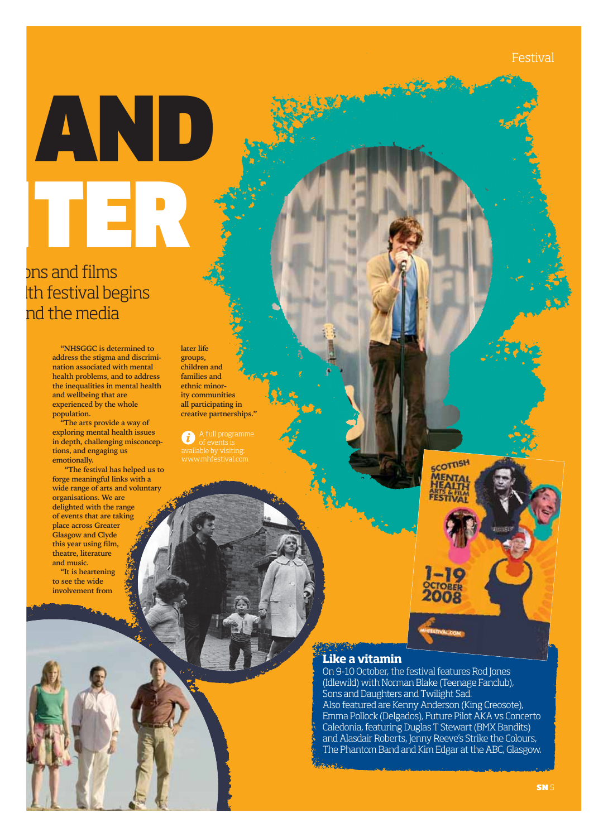Festival

# AND HTER

# ons and films lth festival begins nd the media

**"NHSGGC is determined to address the stigma and discrimination associated with mental health problems, and to address the inequalities in mental health and wellbeing that are experienced by the whole population.**

**"The arts provide a way of exploring mental health issues in depth, challenging misconceptions, and engaging us emotionally.** 

**"The festival has helped us to forge meaningful links with a wide range of arts and voluntary organisations. We are delighted with the range of events that are taking place across Greater Glasgow and Clyde this year using film, theatre, literature and music.** 

**"It is heartening to see the wide involvement from**

**later life groups, children and families and ethnic minority communities all participating in creative partnerships."**

m



#### **Like a vitamin**

On 9-10 October, the festival features Rod Jones (Idlewild) with Norman Blake (Teenage Fanclub), Sons and Daughters and Twilight Sad. Also featured are Kenny Anderson (King Creosote), Emma Pollock (Delgados), Future Pilot AKA vs Concerto Caledonia, featuring Duglas T Stewart (BMX Bandits) and Alasdair Roberts, Jenny Reeve's Strike the Colours, The Phantom Band and Kim Edgar at the ABC, Glasgow.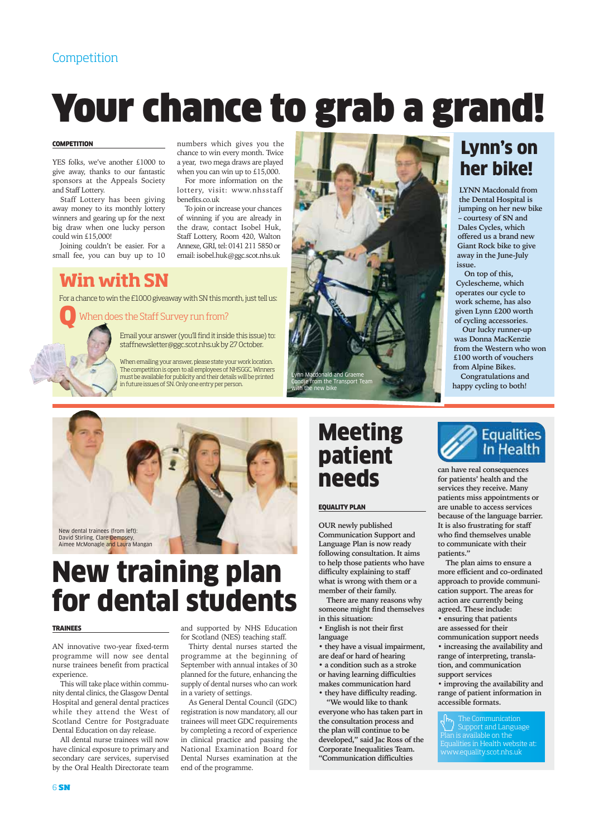#### Competition

# Your chance to grab a grand!

#### **COMPETITION**

YES folks, we've another £1000 to give away, thanks to our fantastic sponsors at the Appeals Society and Staff Lottery.

Staff Lottery has been giving away money to its monthly lottery winners and gearing up for the next big draw when one lucky person could win £15,000!

Joining couldn't be easier. For a small fee, you can buy up to 10

## **Win with SN**

For a chance to win the £1000 giveaway with SN this month, just tell us:

When does the Staff Survey run from? Q

Email your answer (you'll find it inside this issue) to: staffnewsletter@ggc.scot.nhs.uk by 27 October.

benefits.co.uk

numbers which gives you the chance to win every month. Twice a year, two mega draws are played when you can win up to £15,000. For more information on the lottery, visit: www.nhsstaff

To join or increase your chances of winning if you are already in the draw, contact Isobel Huk, Staff Lottery, Room 420, Walton Annexe, GRI, tel: 0141 211 5850 or email: isobel.huk@ggc.scot.nhs.uk

When emailing your answer, please state your work location. The competition is open to all employees of NHSGGC. Winners must be available for publicity and their details will be printed in future issues of SN. Only one entry per person.



# New training plan for dental students

#### TRAINEES

AN innovative two-year fixed-term programme will now see dental nurse trainees benefit from practical experience.

This will take place within community dental clinics, the Glasgow Dental Hospital and general dental practices while they attend the West of Scotland Centre for Postgraduate Dental Education on day release.

All dental nurse trainees will now have clinical exposure to primary and secondary care services, supervised by the Oral Health Directorate team and supported by NHS Education for Scotland (NES) teaching staff.

Thirty dental nurses started the programme at the beginning of September with annual intakes of 30 planned for the future, enhancing the supply of dental nurses who can work in a variety of settings.

As General Dental Council (GDC) registration is now mandatory, all our trainees will meet GDC requirements by completing a record of experience in clinical practice and passing the National Examination Board for Dental Nurses examination at the end of the programme.



# Meeting patient needs

#### EQUALITY PLAN

**OUR newly published Communication Support and Language Plan is now ready following consultation. It aims to help those patients who have difficulty explaining to staff what is wrong with them or a member of their family.** 

**There are many reasons why someone might find themselves in this situation:**

**• English is not their first language**

**• they have a visual impairment, are deaf or hard of hearing • a condition such as a stroke** 

**or having learning difficulties makes communication hard • they have difficulty reading.**

**"We would like to thank everyone who has taken part in**

**the consultation process and the plan will continue to be developed," said Jac Ross of the Corporate Inequalities Team. "Communication difficulties**

## Lynn's on her bike!

**LYNN Macdonald from the Dental Hospital is jumping on her new bike – courtesy of SN and Dales Cycles, which offered us a brand new Giant Rock bike to give away in the June-July issue.**

**On top of this, Cyclescheme, which operates our cycle to work scheme, has also given Lynn £200 worth of cycling accessories.**

**Our lucky runner-up was Donna MacKenzie from the Western who won £100 worth of vouchers from Alpine Bikes.**

**Congratulations and happy cycling to both!**



**can have real consequences for patients' health and the services they receive. Many patients miss appointments or are unable to access services because of the language barrier. It is also frustrating for staff who find themselves unable to communicate with their patients."**

**The plan aims to ensure a more efficient and co-ordinated approach to provide communication support. The areas for action are currently being agreed. These include: • ensuring that patients are assessed for their communication support needs • increasing the availability and range of interpreting, translation, and communication support services** 

**• improving the availability and range of patient information in accessible formats.** 

The Communication Support and Language Plan is available on the Equalities in Health website at: www.equality.scot.nhs.uk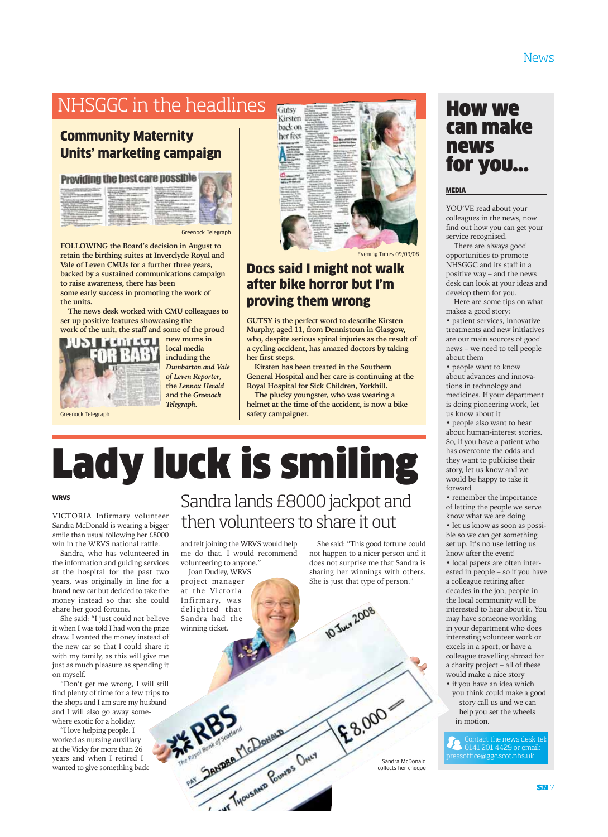# NHSGGC in the headlines

#### Community Maternity Units' marketing campaign

#### **Providing the hest care possible**

| the country of the country and the country of the country of<br>the factories the paint is consistent for | The collection and contract the companies are | and the company's property and the company's | ╾ |
|-----------------------------------------------------------------------------------------------------------|-----------------------------------------------|----------------------------------------------|---|
|                                                                                                           |                                               |                                              |   |

Greenock Telegraph

fы

**FOLLOWING the Board's decision in August to retain the birthing suites at Inverclyde Royal and Vale of Leven CMUs for a further three years, backed by a sustained communications campaign to raise awareness, there has been some early success in promoting the work of the units.**

**The news desk worked with CMU colleagues to set up positive features showcasing the work of the unit, the staff and some of the proud**



**new mums in local media including the** *Dumbarton and Vale of Leven Reporter***, the** *Lennox Herald* **and the** *Greenock*

Greenock Telegraph

WRVS

*Telegraph***.**

# Sandra lands £8000 jackpot and then volunteers to share it out

Docs said I might not walk after bike horror but I'm

Evening Times 09/09/08

**GUTSY is the perfect word to describe Kirsten Murphy, aged 11, from Dennistoun in Glasgow, who, despite serious spinal injuries as the result of a cycling accident, has amazed doctors by taking**

**Kirsten has been treated in the Southern General Hospital and her care is continuing at the Royal Hospital for Sick Children, Yorkhill. The plucky youngster, who was wearing a helmet at the time of the accident, is now a bike**

proving them wrong

Gutsy Kirsten back on her feet

**her first steps.**

**safety campaigner.**

Sandra, who has volunteered in the information and guiding services at the hospital for the past two years, was originally in line for a brand new car but decided to take the money instead so that she could share her good fortune.

VICTORIA Infirmary volunteer Sandra McDonald is wearing a bigger smile than usual following her £8000 win in the WRVS national raffle.

She said: "I just could not believe it when I was told I had won the prize draw. I wanted the money instead of the new car so that I could share it with my family, as this will give me just as much pleasure as spending it on myself.

"Don't get me wrong, I will still find plenty of time for a few trips to the shops and I am sure my husband and I will also go away somewhere exotic for a holiday.

"I love helping people. I worked as nursing auxiliary at the Vicky for more than 26 years and when I retired I wanted to give something back

#### and felt joining the WRVS would help me do that. I would recommend volunteering to anyone."

PRISCRIPTION BOULDED

Lady luck is smiling

Joan Dudley, WRVS project manager at the Victoria Infirmary, was delighted that Sandra had the winning ticket.

She said: "This good fortune could not happen to a nicer person and it does not surprise me that Sandra is sharing her winnings with others.

She is just that type of person."

£8,000



#### MEDIA

YOU'VE read about your colleagues in the news, now find out how you can get your service recognised.

There are always good opportunities to promote NHSGGC and its staff in a positive way – and the news desk can look at your ideas and develop them for you.

Here are some tips on what makes a good story:

• patient services, innovative treatments and new initiatives are our main sources of good news – we need to tell people about them

• people want to know about advances and innovations in technology and medicines. If your department is doing pioneering work, let us know about it

• people also want to hear about human-interest stories. So, if you have a patient who has overcome the odds and they want to publicise their story, let us know and we would be happy to take it forward

• remember the importance of letting the people we serve know what we are doing

• let us know as soon as possible so we can get something set up. It's no use letting us know after the event!

• local papers are often interested in people – so if you have a colleague retiring after decades in the job, people in the local community will be interested to hear about it. You may have someone working in your department who does interesting volunteer work or excels in a sport, or have a colleague travelling abroad for a charity project – all of these would make a nice story

• if you have an idea which you think could make a good story call us and we can help you set the wheels in motion.

Contact the news desk tel: 0141 201 4429 or email: pressoffice@ggc.scot.nhs.uk

**10 June 2008**